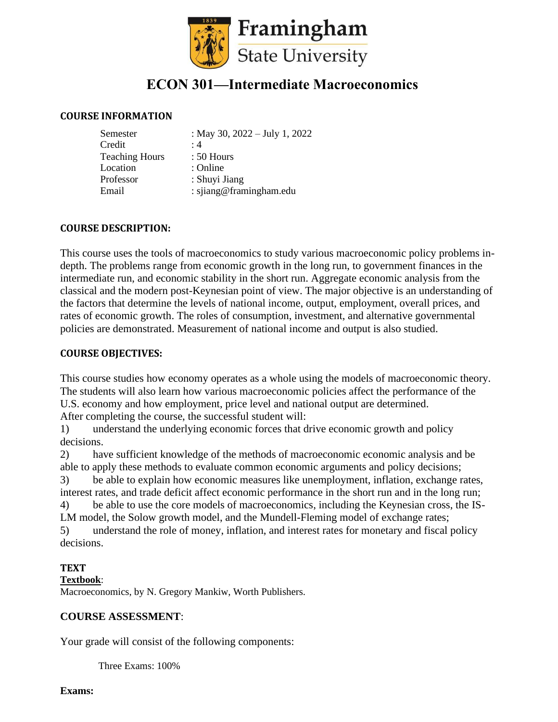

# **ECON 301—Intermediate Macroeconomics**

#### **COURSE INFORMATION**

| Semester              | : May 30, $2022 - July 1, 2022$ |
|-----------------------|---------------------------------|
| Credit                | $\cdot$ 4                       |
| <b>Teaching Hours</b> | $: 50$ Hours                    |
| Location              | : Online                        |
| Professor             | : Shuyi Jiang                   |
| Email                 | : sjiang@framingham.edu         |

## **COURSE DESCRIPTION:**

This course uses the tools of macroeconomics to study various macroeconomic policy problems indepth. The problems range from economic growth in the long run, to government finances in the intermediate run, and economic stability in the short run. Aggregate economic analysis from the classical and the modern post-Keynesian point of view. The major objective is an understanding of the factors that determine the levels of national income, output, employment, overall prices, and rates of economic growth. The roles of consumption, investment, and alternative governmental policies are demonstrated. Measurement of national income and output is also studied.

#### **COURSE OBJECTIVES:**

This course studies how economy operates as a whole using the models of macroeconomic theory. The students will also learn how various macroeconomic policies affect the performance of the U.S. economy and how employment, price level and national output are determined. After completing the course, the successful student will:

1) understand the underlying economic forces that drive economic growth and policy decisions.

2) have sufficient knowledge of the methods of macroeconomic economic analysis and be able to apply these methods to evaluate common economic arguments and policy decisions; 3) be able to explain how economic measures like unemployment, inflation, exchange rates, interest rates, and trade deficit affect economic performance in the short run and in the long run; 4) be able to use the core models of macroeconomics, including the Keynesian cross, the IS-LM model, the Solow growth model, and the Mundell-Fleming model of exchange rates; 5) understand the role of money, inflation, and interest rates for monetary and fiscal policy decisions.

## **TEXT**

#### **Textbook**:

Macroeconomics, by N. Gregory Mankiw, Worth Publishers.

#### **COURSE ASSESSMENT**:

Your grade will consist of the following components:

Three Exams: 100%

**Exams:**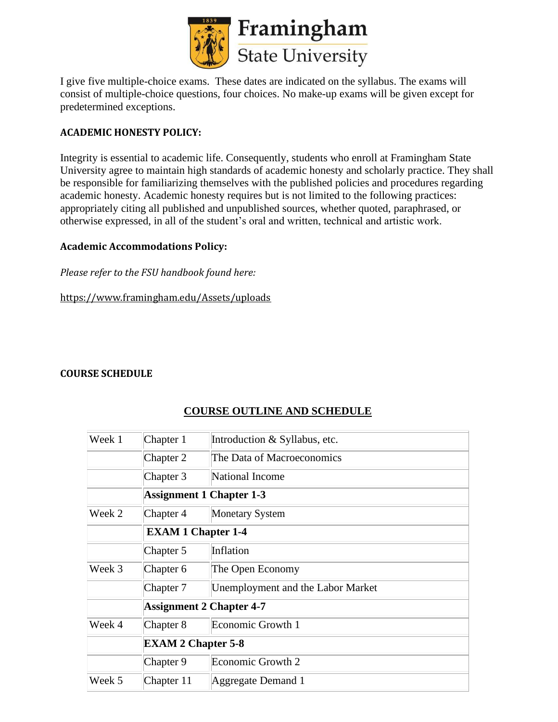

I give five multiple-choice exams. These dates are indicated on the syllabus. The exams will consist of multiple-choice questions, four choices. No make-up exams will be given except for predetermined exceptions.

# **ACADEMIC HONESTY POLICY:**

Integrity is essential to academic life. Consequently, students who enroll at Framingham State University agree to maintain high standards of academic honesty and scholarly practice. They shall be responsible for familiarizing themselves with the published policies and procedures regarding academic honesty. Academic honesty requires but is not limited to the following practices: appropriately citing all published and unpublished sources, whether quoted, paraphrased, or otherwise expressed, in all of the student's oral and written, technical and artistic work.

#### **Academic Accommodations Policy:**

*Please refer to the FSU handbook found here:* 

https://www.framingham.edu/Assets/uploads

## **COURSE SCHEDULE**

| Week 1 | Chapter 1                       | Introduction & Syllabus, etc.     |  |
|--------|---------------------------------|-----------------------------------|--|
|        | Chapter 2                       | The Data of Macroeconomics        |  |
|        | Chapter 3                       | National Income                   |  |
|        | <b>Assignment 1 Chapter 1-3</b> |                                   |  |
| Week 2 | Chapter 4                       | <b>Monetary System</b>            |  |
|        | <b>EXAM 1 Chapter 1-4</b>       |                                   |  |
|        | Chapter 5                       | Inflation                         |  |
| Week 3 | Chapter 6                       | The Open Economy                  |  |
|        | Chapter 7                       | Unemployment and the Labor Market |  |
|        | <b>Assignment 2 Chapter 4-7</b> |                                   |  |
| Week 4 | Chapter 8                       | Economic Growth 1                 |  |
|        | <b>EXAM 2 Chapter 5-8</b>       |                                   |  |
|        | Chapter 9                       | Economic Growth 2                 |  |
| Week 5 | Chapter 11                      | Aggregate Demand 1                |  |

# **COURSE OUTLINE AND SCHEDULE**